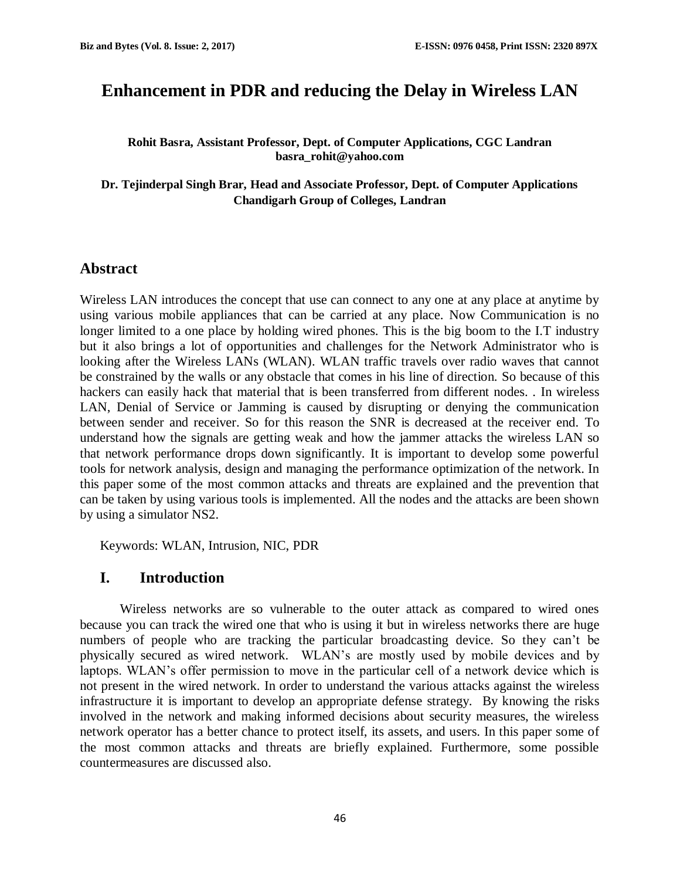# **Enhancement in PDR and reducing the Delay in Wireless LAN**

**Rohit Basra, Assistant Professor, Dept. of Computer Applications, CGC Landran [basra\\_rohit@yahoo.com](mailto:basra_rohit@yahoo.com)**

**Dr. Tejinderpal Singh Brar, Head and Associate Professor, Dept. of Computer Applications Chandigarh Group of Colleges, Landran**

#### **Abstract**

Wireless LAN introduces the concept that use can connect to any one at any place at anytime by using various mobile appliances that can be carried at any place. Now Communication is no longer limited to a one place by holding wired phones. This is the big boom to the I.T industry but it also brings a lot of opportunities and challenges for the Network Administrator who is looking after the Wireless LANs (WLAN). WLAN traffic travels over radio waves that cannot be constrained by the walls or any obstacle that comes in his line of direction. So because of this hackers can easily hack that material that is been transferred from different nodes. . In wireless LAN, Denial of Service or Jamming is caused by disrupting or denying the communication between sender and receiver. So for this reason the SNR is decreased at the receiver end. To understand how the signals are getting weak and how the jammer attacks the wireless LAN so that network performance drops down significantly. It is important to develop some powerful tools for network analysis, design and managing the performance optimization of the network. In this paper some of the most common attacks and threats are explained and the prevention that can be taken by using various tools is implemented. All the nodes and the attacks are been shown by using a simulator NS2.

Keywords: WLAN, Intrusion, NIC, PDR

#### **I. Introduction**

Wireless networks are so vulnerable to the outer attack as compared to wired ones because you can track the wired one that who is using it but in wireless networks there are huge numbers of people who are tracking the particular broadcasting device. So they can't be physically secured as wired network. WLAN's are mostly used by mobile devices and by laptops. WLAN's offer permission to move in the particular cell of a network device which is not present in the wired network. In order to understand the various attacks against the wireless infrastructure it is important to develop an appropriate defense strategy. By knowing the risks involved in the network and making informed decisions about security measures, the wireless network operator has a better chance to protect itself, its assets, and users. In this paper some of the most common attacks and threats are briefly explained. Furthermore, some possible countermeasures are discussed also.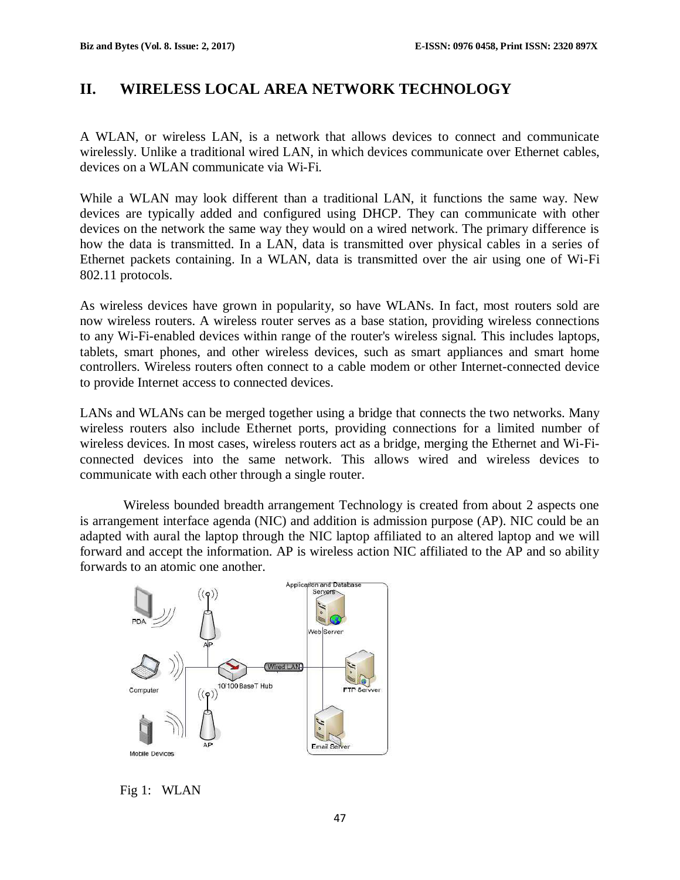# **II. WIRELESS LOCAL AREA NETWORK TECHNOLOGY**

A WLAN, or wireless [LAN,](https://techterms.com/definition/lan) is a [network](https://techterms.com/definition/network) that allows devices to connect and communicate [wirelessly.](https://techterms.com/definition/wireless) Unlike a traditional [wired](https://techterms.com/definition/wired) LAN, in which devices communicate over [Ethernet](https://techterms.com/definition/ethernet) cables, devices on a WLAN communicate via [Wi-Fi.](https://techterms.com/definition/wi-fi)

While a WLAN may look different than a traditional LAN, it functions the same way. New devices are typically added and configured using [DHCP.](https://techterms.com/definition/DHCP) They can communicate with other devices on the network the same way they would on a wired network. The primary difference is how the data is transmitted. In a LAN, data is transmitted over physical cables in a series of Ethernet [packets](https://techterms.com/definition/packet) containing. In a WLAN, data is transmitted over the air using one of Wi-Fi 802.11 protocols.

As wireless devices have grown in popularity, so have WLANs. In fact, most [routers](https://techterms.com/definition/router) sold are now wireless routers. A wireless router serves as a [base station,](https://techterms.com/definition/basestation) providing wireless connections to any Wi-Fi-enabled devices within range of the router's wireless signal. This includes [laptops,](https://techterms.com/definition/laptop) [tablets,](https://techterms.com/definition/tablet) [smart phones,](https://techterms.com/definition/smartphone) and other wireless devices, such as smart appliances and [smart home](https://techterms.com/definition/smart_home) controllers. Wireless routers often connect to a [cable modem](https://techterms.com/definition/cablemodem) or other Internet-connected device to provide Internet access to connected devices.

LANs and WLANs can be merged together using a [bridge](https://techterms.com/definition/bridge) that connects the two networks. Many wireless routers also include Ethernet ports, providing connections for a limited number of wireless devices. In most cases, wireless routers act as a bridge, merging the Ethernet and Wi-Ficonnected devices into the same network. This allows wired and wireless devices to communicate with each other through a single router.

Wireless bounded breadth arrangement Technology is created from about 2 aspects one is arrangement interface agenda (NIC) and addition is admission purpose (AP). NIC could be an adapted with aural the laptop through the NIC laptop affiliated to an altered laptop and we will forward and accept the information. AP is wireless action NIC affiliated to the AP and so ability forwards to an atomic one another.



Fig 1: WLAN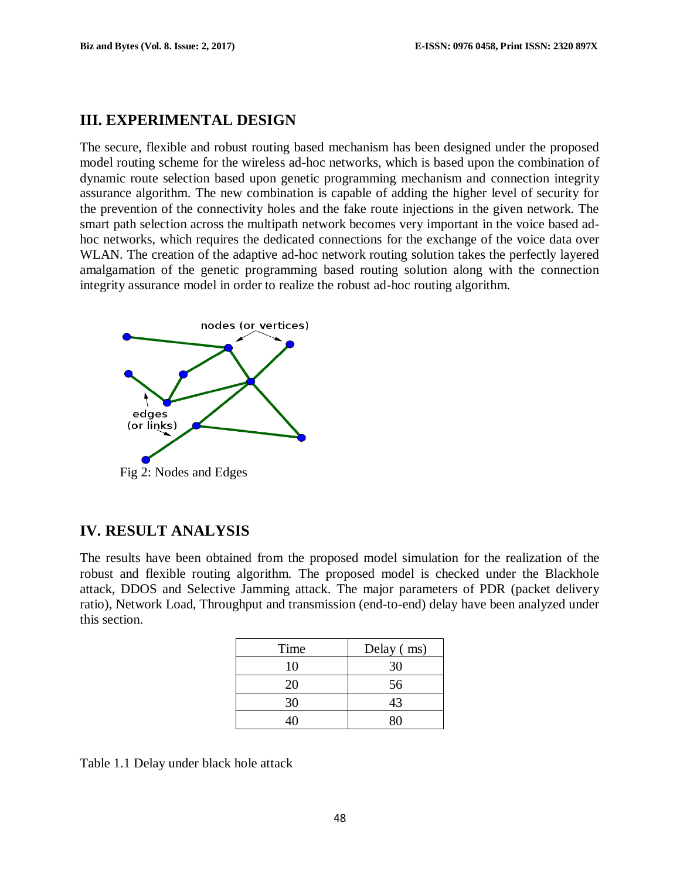### **III. EXPERIMENTAL DESIGN**

The secure, flexible and robust routing based mechanism has been designed under the proposed model routing scheme for the wireless ad-hoc networks, which is based upon the combination of dynamic route selection based upon genetic programming mechanism and connection integrity assurance algorithm. The new combination is capable of adding the higher level of security for the prevention of the connectivity holes and the fake route injections in the given network. The smart path selection across the multipath network becomes very important in the voice based adhoc networks, which requires the dedicated connections for the exchange of the voice data over WLAN. The creation of the adaptive ad-hoc network routing solution takes the perfectly layered amalgamation of the genetic programming based routing solution along with the connection integrity assurance model in order to realize the robust ad-hoc routing algorithm.



# **IV. RESULT ANALYSIS**

The results have been obtained from the proposed model simulation for the realization of the robust and flexible routing algorithm. The proposed model is checked under the Blackhole attack, DDOS and Selective Jamming attack. The major parameters of PDR (packet delivery ratio), Network Load, Throughput and transmission (end-to-end) delay have been analyzed under this section.

| Time | Delay (ms) |
|------|------------|
| 10   | 30         |
| 20   | 56         |
| 30   | 43         |
| 40   | ዩስ         |

Table 1.1 Delay under black hole attack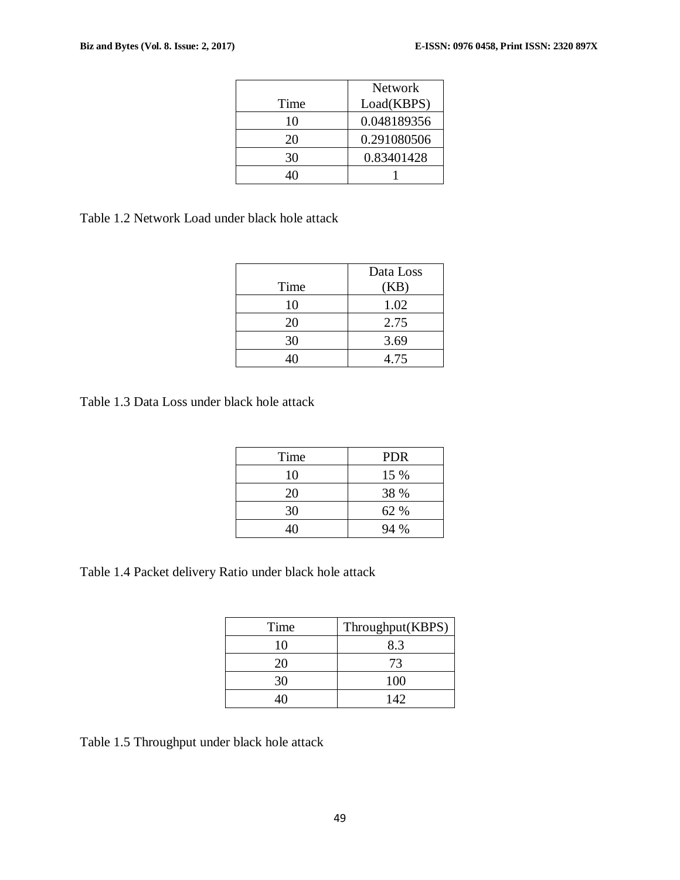|      | <b>Network</b> |
|------|----------------|
| Time | Load(KBPS)     |
| 10   | 0.048189356    |
| 20   | 0.291080506    |
| 30   | 0.83401428     |
|      |                |

Table 1.2 Network Load under black hole attack

|      | Data Loss |
|------|-----------|
| Time | (KB)      |
| 10   | 1.02      |
| 20   | 2.75      |
| 30   | 3.69      |
|      | 4.75      |

Table 1.3 Data Loss under black hole attack

| Time | <b>PDR</b> |
|------|------------|
| 10   | 15 %       |
| 20   | 38 %       |
| 30   | 62 %       |
| 4Λ   | 94 %       |

Table 1.4 Packet delivery Ratio under black hole attack

| Time | Throughput(KBPS) |
|------|------------------|
| 10   | 8.3              |
| 20   | 73               |
| 30   | 100              |
|      | 142              |

Table 1.5 Throughput under black hole attack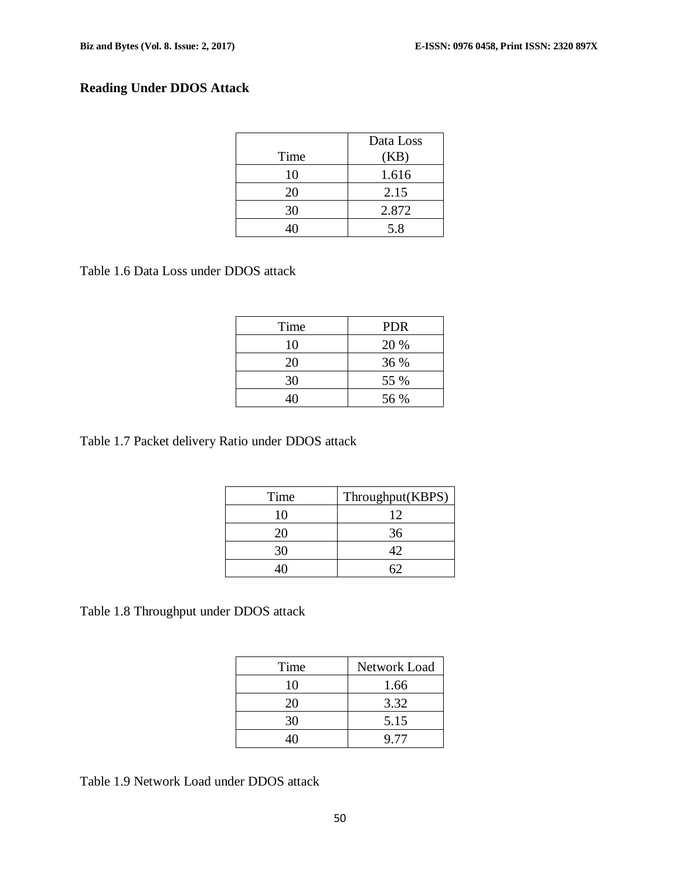# **Reading Under DDOS Attack**

|      | Data Loss |
|------|-----------|
| Time | (KB)      |
| 10   | 1.616     |
| 20   | 2.15      |
| 30   | 2.872     |
|      | 5.8       |

Table 1.6 Data Loss under DDOS attack

| Time | <b>PDR</b> |
|------|------------|
| 10   | 20 %       |
| 20   | 36 %       |
| 30   | 55 %       |
|      | 56 %       |

Table 1.7 Packet delivery Ratio under DDOS attack

| Time | Throughput(KBPS) |
|------|------------------|
| 10   | 12               |
| 20   | 36               |
| 30   | 12               |
|      |                  |

Table 1.8 Throughput under DDOS attack

| Time | Network Load |
|------|--------------|
| 10   | 1.66         |
| 20   | 3.32         |
| 30   | 5.15         |
|      | 9.77         |

Table 1.9 Network Load under DDOS attack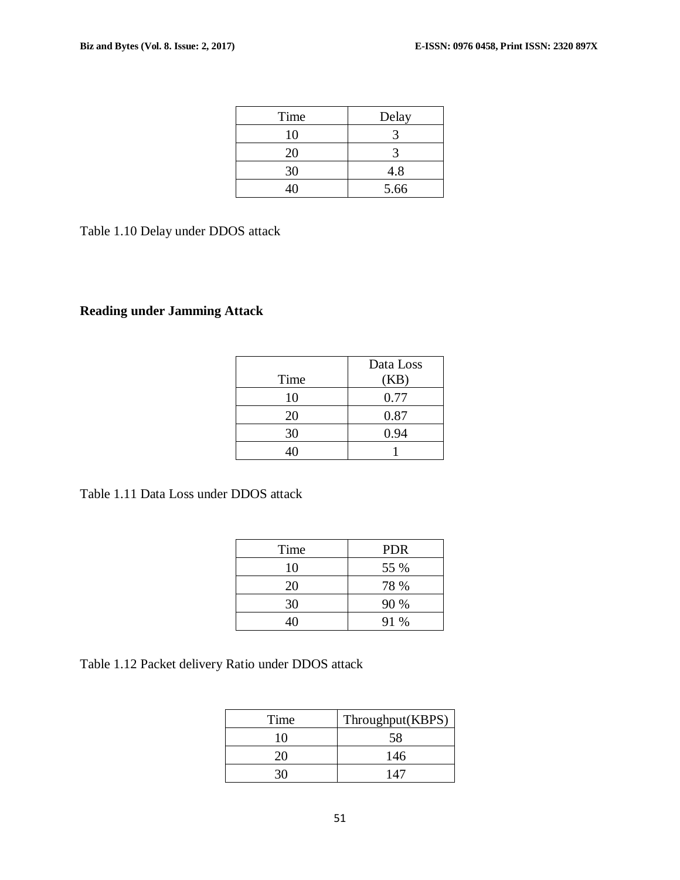| Time | Delay |
|------|-------|
| 10   |       |
| 20   |       |
| 30   | 4.8   |
| 40   | 5.66  |

Table 1.10 Delay under DDOS attack

# **Reading under Jamming Attack**

|      | Data Loss |
|------|-----------|
| Time | (KB)      |
| 10   | 0.77      |
| 20   | 0.87      |
| 30   | 0.94      |
|      |           |

Table 1.11 Data Loss under DDOS attack

| Time | <b>PDR</b> |
|------|------------|
| 10   | 55 %       |
| 20   | 78 %       |
| 30   | 90 %       |
| 40   | 91 %       |

Table 1.12 Packet delivery Ratio under DDOS attack

| Time | Throughput(KBPS) |
|------|------------------|
| 10   | 58               |
|      | 146              |
|      | $1\,A^r$         |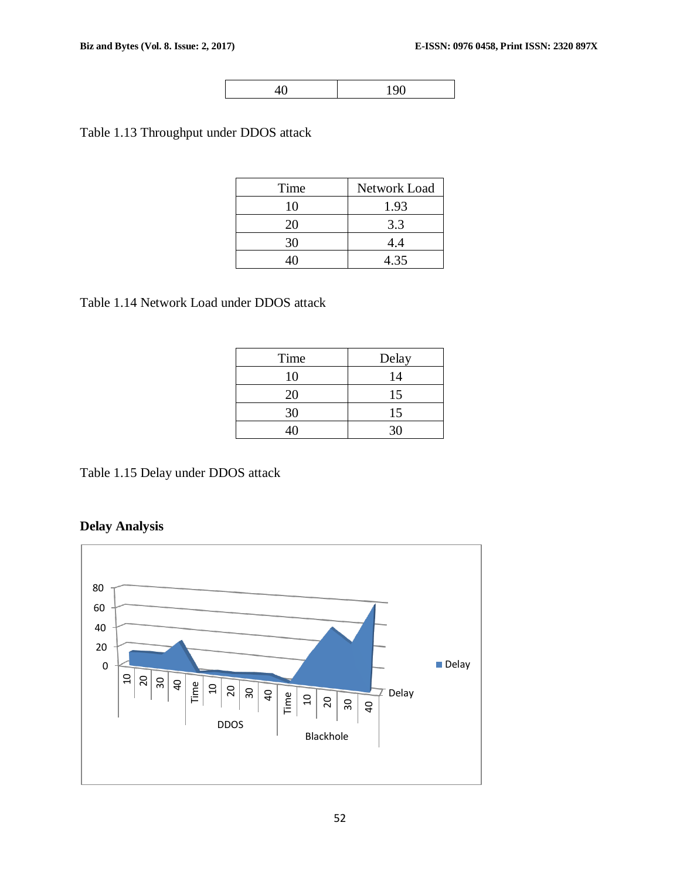190

Table 1.13 Throughput under DDOS attack

| Time | Network Load |
|------|--------------|
| 10   | 1.93         |
| 20   | 3.3          |
| 30   | 4.4          |
|      | 4.35         |

Table 1.14 Network Load under DDOS attack

| Time | Delay |
|------|-------|
| 10   | 14    |
| 20   | 15    |
| 30   | 15    |
| 4Ω   | 30    |

Table 1.15 Delay under DDOS attack

**Delay Analysis**

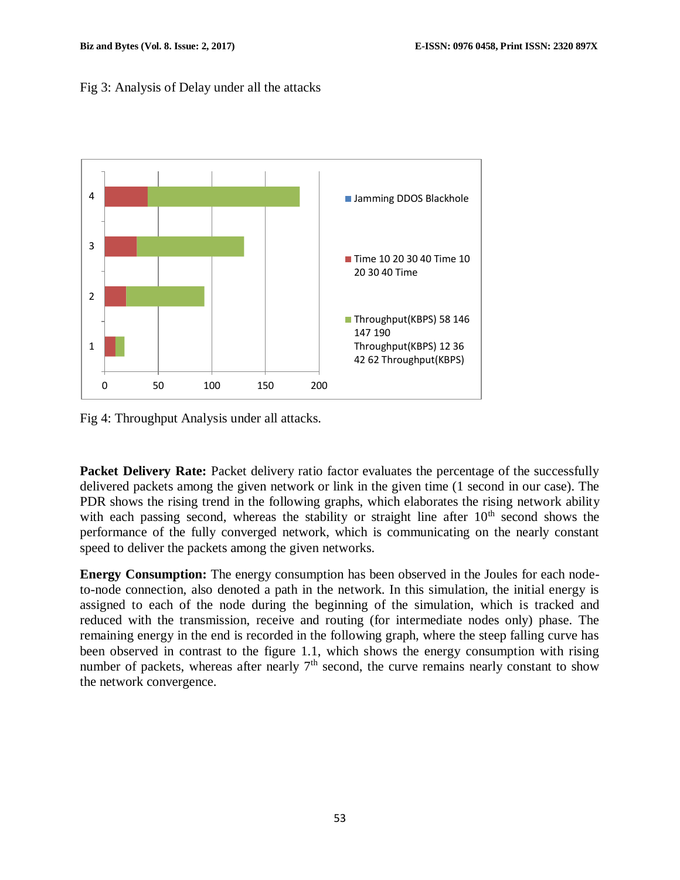#### Fig 3: Analysis of Delay under all the attacks



Fig 4: Throughput Analysis under all attacks.

**Packet Delivery Rate:** Packet delivery ratio factor evaluates the percentage of the successfully delivered packets among the given network or link in the given time (1 second in our case). The PDR shows the rising trend in the following graphs, which elaborates the rising network ability with each passing second, whereas the stability or straight line after  $10<sup>th</sup>$  second shows the performance of the fully converged network, which is communicating on the nearly constant speed to deliver the packets among the given networks.

**Energy Consumption:** The energy consumption has been observed in the Joules for each nodeto-node connection, also denoted a path in the network. In this simulation, the initial energy is assigned to each of the node during the beginning of the simulation, which is tracked and reduced with the transmission, receive and routing (for intermediate nodes only) phase. The remaining energy in the end is recorded in the following graph, where the steep falling curve has been observed in contrast to the figure 1.1, which shows the energy consumption with rising number of packets, whereas after nearly  $7<sup>th</sup>$  second, the curve remains nearly constant to show the network convergence.